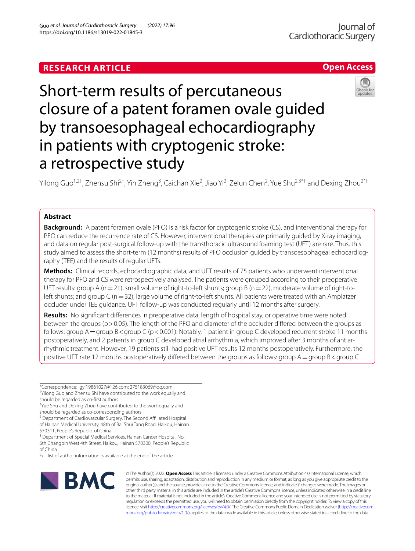# **RESEARCH ARTICLE**

https://doi.org/10.1186/s13019-022-01845-3

Guo *et al. Journal of Cardiothoracic Surgery (2022) 17:96* 

# Short-term results of percutaneous closure of a patent foramen ovale guided by transoesophageal echocardiography in patients with cryptogenic stroke: a retrospective study

Yilong Guo<sup>1,2†</sup>, Zhensu Shi<sup>2†</sup>, Yin Zheng<sup>3</sup>, Caichan Xie<sup>2</sup>, Jiao Yi<sup>2</sup>, Zelun Chen<sup>2</sup>, Yue Shu<sup>2,3\*†</sup> and Dexing Zhou<sup>2\*†</sup>

## **Abstract**

**Background:** A patent foramen ovale (PFO) is a risk factor for cryptogenic stroke (CS), and interventional therapy for PFO can reduce the recurrence rate of CS. However, interventional therapies are primarily guided by X-ray imaging, and data on regular post-surgical follow-up with the transthoracic ultrasound foaming test (UFT) are rare. Thus, this study aimed to assess the short-term (12 months) results of PFO occlusion guided by transoesophageal echocardiography (TEE) and the results of regular UFTs.

**Methods:** Clinical records, echocardiographic data, and UFT results of 75 patients who underwent interventional therapy for PFO and CS were retrospectively analysed. The patients were grouped according to their preoperative UFT results: group A ( $n=21$ ), small volume of right-to-left shunts; group B ( $n=22$ ), moderate volume of right-toleft shunts; and group C ( $n=32$ ), large volume of right-to-left shunts. All patients were treated with an Amplatzer occluder under TEE guidance. UFT follow-up was conducted regularly until 12 months after surgery.

**Results:** No signifcant diferences in preoperative data, length of hospital stay, or operative time were noted between the groups (p>0.05). The length of the PFO and diameter of the occluder difered between the groups as follows: group  $A =$ group  $B <$ group C (p < 0.001). Notably, 1 patient in group C developed recurrent stroke 11 months postoperatively, and 2 patients in group C developed atrial arrhythmia, which improved after 3 months of antiarrhythmic treatment. However, 19 patients still had positive UFT results 12 months postoperatively. Furthermore, the positive UFT rate 12 months postoperatively differed between the groups as follows: group A = group B < group C

\*Correspondence: gyl19861027@126.com; 275183069@qq.com

† Yilong Guo and Zhensu Shi have contributed to the work equally and should be regarded as co-frst authors

should be regarded as co-corresponding authors

<sup>2</sup> Department of Cardiovascular Surgery, The Second Affiliated Hospital of Hainan Medical University, 48th of Bai Shui Tang Road, Haikou, Hainan 570311, People's Republic of China

<sup>3</sup> Department of Special Medical Services, Hainan Cancer Hospital, No. 6th Changbin West 4th Street, Haikou, Hainan 570300, People's Republic of China

Full list of author information is available at the end of the article



© The Author(s) 2022. **Open Access** This article is licensed under a Creative Commons Attribution 4.0 International License, which permits use, sharing, adaptation, distribution and reproduction in any medium or format, as long as you give appropriate credit to the original author(s) and the source, provide a link to the Creative Commons licence, and indicate if changes were made. The images or other third party material in this article are included in the article's Creative Commons licence, unless indicated otherwise in a credit line to the material. If material is not included in the article's Creative Commons licence and your intended use is not permitted by statutory regulation or exceeds the permitted use, you will need to obtain permission directly from the copyright holder. To view a copy of this licence, visit [http://creativecommons.org/licenses/by/4.0/.](http://creativecommons.org/licenses/by/4.0/) The Creative Commons Public Domain Dedication waiver ([http://creativecom](http://creativecommons.org/publicdomain/zero/1.0/)[mons.org/publicdomain/zero/1.0/\)](http://creativecommons.org/publicdomain/zero/1.0/) applies to the data made available in this article, unless otherwise stated in a credit line to the data.



**Open Access**

<sup>†</sup> Yue Shu and Dexing Zhou have contributed to the work equally and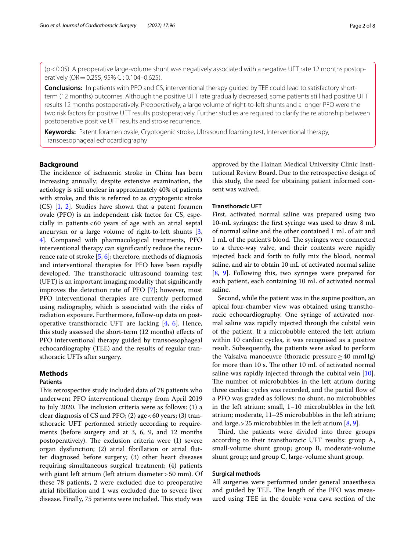$(p<0.05)$ . A preoperative large-volume shunt was negatively associated with a negative UFT rate 12 months postoperatively (OR=0.255, 95% CI: 0.104–0.625).

**Conclusions:** In patients with PFO and CS, interventional therapy guided by TEE could lead to satisfactory shortterm (12 months) outcomes. Although the positive UFT rate gradually decreased, some patients still had positive UFT results 12 months postoperatively. Preoperatively, a large volume of right-to-left shunts and a longer PFO were the two risk factors for positive UFT results postoperatively. Further studies are required to clarify the relationship between postoperative positive UFT results and stroke recurrence.

**Keywords:** Patent foramen ovale, Cryptogenic stroke, Ultrasound foaming test, Interventional therapy, Transoesophageal echocardiography

## **Background**

The incidence of ischaemic stroke in China has been increasing annually; despite extensive examination, the aetiology is still unclear in approximately 40% of patients with stroke, and this is referred to as cryptogenic stroke (CS) [\[1](#page-7-0), [2\]](#page-7-1). Studies have shown that a patent foramen ovale (PFO) is an independent risk factor for CS, especially in patients<60 years of age with an atrial septal aneurysm or a large volume of right-to-left shunts [\[3](#page-7-2), [4\]](#page-7-3). Compared with pharmacological treatments, PFO interventional therapy can signifcantly reduce the recurrence rate of stroke [\[5](#page-7-4), [6\]](#page-7-5); therefore, methods of diagnosis and interventional therapies for PFO have been rapidly developed. The transthoracic ultrasound foaming test (UFT) is an important imaging modality that signifcantly improves the detection rate of PFO [\[7](#page-7-6)]; however, most PFO interventional therapies are currently performed using radiography, which is associated with the risks of radiation exposure. Furthermore, follow-up data on postoperative transthoracic UFT are lacking [[4,](#page-7-3) [6](#page-7-5)]. Hence, this study assessed the short-term (12 months) efects of PFO interventional therapy guided by transoesophageal echocardiography (TEE) and the results of regular transthoracic UFTs after surgery.

## **Methods**

## **Patients**

This retrospective study included data of 78 patients who underwent PFO interventional therapy from April 2019 to July 2020. The inclusion criteria were as follows:  $(1)$  a clear diagnosis of CS and PFO; (2) age  $<60$  years; (3) transthoracic UFT performed strictly according to requirements (before surgery and at 3, 6, 9, and 12 months postoperatively). The exclusion criteria were  $(1)$  severe organ dysfunction; (2) atrial fbrillation or atrial futter diagnosed before surgery; (3) other heart diseases requiring simultaneous surgical treatment; (4) patients with giant left atrium (left atrium diameter > 50 mm). Of these 78 patients, 2 were excluded due to preoperative atrial fbrillation and 1 was excluded due to severe liver disease. Finally, 75 patients were included. This study was approved by the Hainan Medical University Clinic Institutional Review Board. Due to the retrospective design of this study, the need for obtaining patient informed consent was waived.

## **Transthoracic UFT**

First, activated normal saline was prepared using two 10-mL syringes: the frst syringe was used to draw 8 mL of normal saline and the other contained 1 mL of air and 1 mL of the patient's blood. The syringes were connected to a three-way valve, and their contents were rapidly injected back and forth to fully mix the blood, normal saline, and air to obtain 10 mL of activated normal saline [[8,](#page-7-7) [9\]](#page-7-8). Following this, two syringes were prepared for each patient, each containing 10 mL of activated normal saline.

Second, while the patient was in the supine position, an apical four-chamber view was obtained using transthoracic echocardiography. One syringe of activated normal saline was rapidly injected through the cubital vein of the patient. If a microbubble entered the left atrium within 10 cardiac cycles, it was recognised as a positive result. Subsequently, the patients were asked to perform the Valsalva manoeuvre (thoracic pressure≥40 mmHg) for more than 10 s. The other 10 mL of activated normal saline was rapidly injected through the cubital vein [\[10](#page-7-9)]. The number of microbubbles in the left atrium during three cardiac cycles was recorded, and the partial flow of a PFO was graded as follows: no shunt, no microbubbles in the left atrium; small, 1–10 microbubbles in the left atrium; moderate, 11–25 microbubbles in the left atrium; and large,  $>$  25 microbubbles in the left atrium [[8,](#page-7-7) [9](#page-7-8)].

Third, the patients were divided into three groups according to their transthoracic UFT results: group A, small-volume shunt group; group B, moderate-volume shunt group; and group C, large-volume shunt group.

## **Surgical methods**

All surgeries were performed under general anaesthesia and guided by TEE. The length of the PFO was measured using TEE in the double vena cava section of the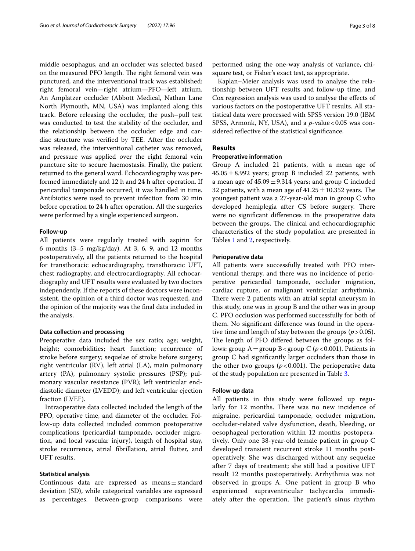middle oesophagus, and an occluder was selected based on the measured PFO length. The right femoral vein was punctured, and the interventional track was established: right femoral vein—right atrium—PFO—left atrium. An Amplatzer occluder (Abbott Medical, Nathan Lane North Plymouth, MN, USA) was implanted along this track. Before releasing the occluder, the push–pull test was conducted to test the stability of the occluder, and the relationship between the occluder edge and cardiac structure was verifed by TEE. After the occluder was released, the interventional catheter was removed, and pressure was applied over the right femoral vein puncture site to secure haemostasis. Finally, the patient returned to the general ward. Echocardiography was performed immediately and 12 h and 24 h after operation. If pericardial tamponade occurred, it was handled in time. Antibiotics were used to prevent infection from 30 min before operation to 24 h after operation. All the surgeries were performed by a single experienced surgeon.

## **Follow‑up**

All patients were regularly treated with aspirin for 6 months  $(3-5 \text{ mg/kg/day})$ . At 3, 6, 9, and 12 months postoperatively, all the patients returned to the hospital for transthoracic echocardiography, transthoracic UFT, chest radiography, and electrocardiography. All echocardiography and UFT results were evaluated by two doctors independently. If the reports of these doctors were inconsistent, the opinion of a third doctor was requested, and the opinion of the majority was the fnal data included in the analysis.

## **Data collection and processing**

Preoperative data included the sex ratio; age; weight, height; comorbidities; heart function; recurrence of stroke before surgery; sequelae of stroke before surgery; right ventricular (RV), left atrial (LA), main pulmonary artery (PA), pulmonary systolic pressures (PSP); pulmonary vascular resistance (PVR); left ventricular enddiastolic diameter (LVEDD); and left ventricular ejection fraction (LVEF).

Intraoperative data collected included the length of the PFO, operative time, and diameter of the occluder. Follow-up data collected included common postoperative complications (pericardial tamponade, occluder migration, and local vascular injury), length of hospital stay, stroke recurrence, atrial fbrillation, atrial futter, and UFT results.

## **Statistical analysis**

Continuous data are expressed as means±standard deviation (SD), while categorical variables are expressed as percentages. Between-group comparisons were

performed using the one-way analysis of variance, chisquare test, or Fisher's exact test, as appropriate.

Kaplan–Meier analysis was used to analyse the relationship between UFT results and follow-up time, and Cox regression analysis was used to analyse the efects of various factors on the postoperative UFT results. All statistical data were processed with SPSS version 19.0 (IBM SPSS, Armonk, NY, USA), and a *p*-value <0.05 was considered reflective of the statistical significance.

## **Results**

#### **Preoperative information**

Group A included 21 patients, with a mean age of  $45.05 \pm 8.992$  years; group B included 22 patients, with a mean age of  $45.09 \pm 9.314$  years; and group C included 32 patients, with a mean age of  $41.25 \pm 10.352$  years. The youngest patient was a 27-year-old man in group C who developed hemiplegia after CS before surgery. There were no signifcant diferences in the preoperative data between the groups. The clinical and echocardiographic characteristics of the study population are presented in Tables [1](#page-3-0) and [2,](#page-3-1) respectively.

## **Perioperative data**

All patients were successfully treated with PFO interventional therapy, and there was no incidence of perioperative pericardial tamponade, occluder migration, cardiac rupture, or malignant ventricular arrhythmia. There were 2 patients with an atrial septal aneurysm in this study, one was in group B and the other was in group C. PFO occlusion was performed successfully for both of them. No signifcant diference was found in the operative time and length of stay between the groups ( $p > 0.05$ ). The length of PFO differed between the groups as follows: group  $A =$ group  $B <$ group C ( $p < 0.001$ ). Patients in group C had signifcantly larger occluders than those in the other two groups  $(p < 0.001)$ . The perioperative data of the study population are presented in Table [3.](#page-3-2)

#### **Follow‑up data**

All patients in this study were followed up regularly for 12 months. There was no new incidence of migraine, pericardial tamponade, occluder migration, occluder-related valve dysfunction, death, bleeding, or oesophageal perforation within 12 months postoperatively. Only one 38-year-old female patient in group C developed transient recurrent stroke 11 months postoperatively. She was discharged without any sequelae after 7 days of treatment; she still had a positive UFT result 12 months postoperatively. Arrhythmia was not observed in groups A. One patient in group B who experienced supraventricular tachycardia immediately after the operation. The patient's sinus rhythm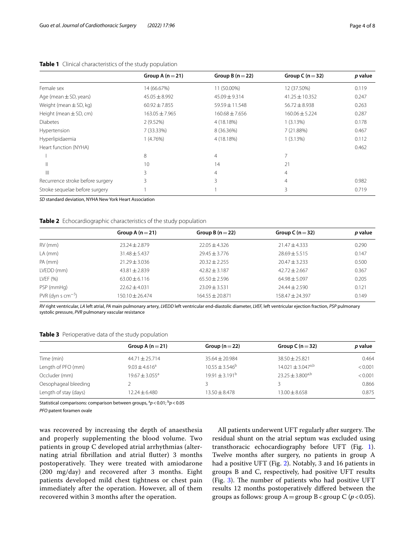|                                  | Group A $(n=21)$   | Group B $(n=22)$  | Group C $(n=32)$   | p value |
|----------------------------------|--------------------|-------------------|--------------------|---------|
| Female sex                       | 14 (66.67%)        | 11 (50.00%)       | 12 (37.50%)        | 0.119   |
| Age (mean $\pm$ SD, years)       | $45.05 \pm 8.992$  | $45.09 \pm 9.314$ | $41.25 \pm 10.352$ | 0.247   |
| Weight (mean $\pm$ SD, kg)       | $60.92 \pm 7.855$  | 59.59 ± 11.548    | $56.72 \pm 8.938$  | 0.263   |
| Height (mean $\pm$ SD, cm)       | $163.05 \pm 7.965$ | $160.68 + 7.656$  | $160.06 \pm 5.224$ | 0.287   |
| <b>Diabetes</b>                  | 2(9.52%)           | 4 (18.18%)        | 1(3.13%)           | 0.178   |
| Hypertension                     | 7 (33.33%)         | 8 (36.36%)        | 7 (21.88%)         | 0.467   |
| Hyperlipidaemia                  | 1(4.76%)           | 4 (18.18%)        | 1(3.13%)           | 0.112   |
| Heart function (NYHA)            |                    |                   |                    | 0.462   |
|                                  | 8                  | 4                 |                    |         |
|                                  | 10                 | 14                | 21                 |         |
| Ш                                | 3                  | 4                 | 4                  |         |
| Recurrence stroke before surgery | 3                  | 3                 | 4                  | 0.982   |
| Stroke sequelae before surgery   |                    |                   | 3                  | 0.719   |

## <span id="page-3-0"></span>**Table 1** Clinical characteristics of the study population

*SD* standard deviation, NYHA New York Heart Association

#### <span id="page-3-1"></span>**Table 2** Echocardiographic characteristics of the study population

|                                 | Group A $(n=21)$  | Group B $(n=22)$  | Group C ( $n = 32$ ) | p value |
|---------------------------------|-------------------|-------------------|----------------------|---------|
| $RV$ (mm)                       | $23.24 \pm 2.879$ | $22.05 \pm 4.326$ | $21.47 \pm 4.333$    | 0.290   |
| $LA$ (mm)                       | $31.48 \pm 5.437$ | $29.45 \pm 3.776$ | $78.69 + 5.515$      | 0.147   |
| PA (mm)                         | $21.29 + 3.036$   | $20.32 + 2.255$   | $70.47 + 3.233$      | 0.500   |
| LVEDD (mm)                      | $43.81 \pm 2.839$ | $42.82 + 3.187$   | $42.72 + 2.667$      | 0.367   |
| LVEF $(% )$                     | $63.00 + 6.116$   | $65.50 + 2.596$   | $64.98 + 5.097$      | 0.205   |
| PSP (mmHg)                      | $72.62 + 4.031$   | $23.09 + 3.531$   | $74.44 + 7.590$      | 0.121   |
| $PVR$ (dyn s cm <sup>-5</sup> ) | 150.10 + 26.474   | $164.55 + 20.871$ | $158.47 + 24.397$    | 0.149   |
|                                 |                   |                   |                      |         |

*RV* right ventricular, *LA* left atrial, *PA* main pulmonary artery, *LVEDD* left ventricular end-diastolic diameter, *LVEF,* left ventricular ejection fraction, *PSP* pulmonary systolic pressure, *PVR* pulmonary vascular resistance

## <span id="page-3-2"></span>**Table 3** Perioperative data of the study population

|                       | Group A $(n=21)$   | Group $(n=22)$                 | Group C ( $n = 32$ )              | p value |
|-----------------------|--------------------|--------------------------------|-----------------------------------|---------|
| Time (min)            | $44.71 \pm 25.714$ | $35.64 \pm 20.984$             | $38.50 \pm 25.821$                | 0.464   |
| Length of PFO (mm)    | $9.03 \pm 4.616^a$ | $10.55 \pm 3.546^b$            | $14.021 \pm 3.047$ <sup>a,b</sup> | < 0.001 |
| Occluder (mm)         | $19.67 + 3.055^a$  | $19.91 \pm 3.191$ <sup>b</sup> | $23.25 \pm 3.800^{a,b}$           | < 0.001 |
| Oesophageal bleeding  |                    |                                |                                   | 0.866   |
| Length of stay (days) | 12.24±6.480        | 13.50 $\pm$ 8.478              | $13.00 \pm 8.658$                 | 0.875   |

Statistical comparisons: comparison between groups,  ${}^{a}p$  < 0.01;  ${}^{b}p$  < 0.05

*PFO* patent foramen ovale

was recovered by increasing the depth of anaesthesia and properly supplementing the blood volume. Two patients in group C developed atrial arrhythmias (alternating atrial fbrillation and atrial futter) 3 months postoperatively. They were treated with amiodarone (200 mg/day) and recovered after 3 months. Eight patients developed mild chest tightness or chest pain immediately after the operation. However, all of them recovered within 3 months after the operation.

All patients underwent UFT regularly after surgery. The residual shunt on the atrial septum was excluded using transthoracic echocardiography before UFT (Fig. [1](#page-4-0)). Twelve months after surgery, no patients in group A had a positive UFT (Fig. [2\)](#page-4-1). Notably, 3 and 16 patients in groups B and C, respectively, had positive UFT results (Fig.  $3$ ). The number of patients who had positive UFT results 12 months postoperatively difered between the groups as follows: group  $A =$ group  $B <$ group C ( $p < 0.05$ ).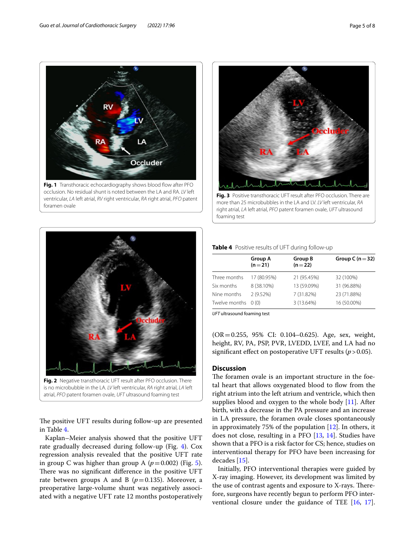

<span id="page-4-0"></span>occlusion. No residual shunt is noted between the LA and RA. *LV* left ventricular, *LA* left atrial, *RV* right ventricular, *RA* right atrial, *PFO* patent foramen ovale



<span id="page-4-1"></span>atrial, *PFO* patent foramen ovale, *UFT* ultrasound foaming test

The positive UFT results during follow-up are presented in Table [4](#page-4-3).

Kaplan–Meier analysis showed that the positive UFT rate gradually decreased during follow-up (Fig. [4\)](#page-5-0). Cox regression analysis revealed that the positive UFT rate in group C was higher than group A  $(p=0.002)$  (Fig. [5](#page-5-1)). There was no significant difference in the positive UFT rate between groups A and B  $(p=0.135)$ . Moreover, a preoperative large-volume shunt was negatively associated with a negative UFT rate 12 months postoperatively



<span id="page-4-2"></span>more than 25 microbubbles in the LA and LV. *LV* left ventricular, *RA* right atrial, *LA* left atrial, *PFO* patent foramen ovale, *UFT* ultrasound foaming test

#### <span id="page-4-3"></span>**Table 4** Positive results of UFT during follow-up

| <b>Group A</b><br>$(n=21)$ | Group B<br>$(n=22)$ | Group C ( $n = 32$ ) |
|----------------------------|---------------------|----------------------|
| 17 (80.95%)                | 21 (95.45%)         | 32 (100%)            |
| 8 (38.10%)                 | 13 (59.09%)         | 31 (96.88%)          |
| 2 (9.52%)                  | 7 (31.82%)          | 23 (71.88%)          |
| Twelve months 0 (0)        | 3 (13.64%)          | 16 (50.00%)          |
|                            |                     |                      |

*UFT* ultrasound foaming test

(OR=0.255, 95% CI: 0.104–0.625). Age, sex, weight, height, RV, PA, PSP, PVR, LVEDD, LVEF, and LA had no significant effect on postoperative UFT results  $(p > 0.05)$ .

## **Discussion**

The foramen ovale is an important structure in the foetal heart that allows oxygenated blood to fow from the right atrium into the left atrium and ventricle, which then supplies blood and oxygen to the whole body [[11\]](#page-7-10). After birth, with a decrease in the PA pressure and an increase in LA pressure, the foramen ovale closes spontaneously in approximately 75% of the population [[12](#page-7-11)]. In others, it does not close, resulting in a PFO [\[13,](#page-7-12) [14](#page-7-13)]. Studies have shown that a PFO is a risk factor for CS; hence, studies on interventional therapy for PFO have been increasing for decades [[15\]](#page-7-14).

Initially, PFO interventional therapies were guided by X-ray imaging. However, its development was limited by the use of contrast agents and exposure to X-rays. Therefore, surgeons have recently begun to perform PFO interventional closure under the guidance of TEE [[16,](#page-7-15) [17](#page-7-16)].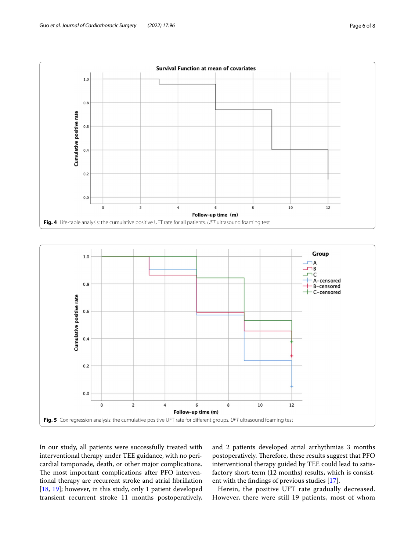

<span id="page-5-0"></span>

<span id="page-5-1"></span>In our study, all patients were successfully treated with interventional therapy under TEE guidance, with no pericardial tamponade, death, or other major complications. The most important complications after PFO interventional therapy are recurrent stroke and atrial fbrillation [[18,](#page-7-17) [19\]](#page-7-18); however, in this study, only 1 patient developed transient recurrent stroke 11 months postoperatively, and 2 patients developed atrial arrhythmias 3 months postoperatively. Therefore, these results suggest that PFO interventional therapy guided by TEE could lead to satisfactory short-term (12 months) results, which is consistent with the fndings of previous studies [\[17\]](#page-7-16).

Herein, the positive UFT rate gradually decreased. However, there were still 19 patients, most of whom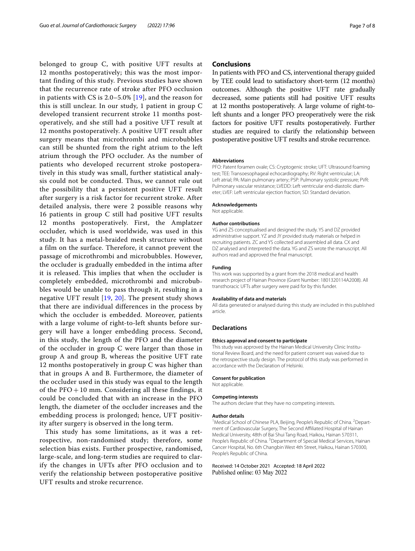belonged to group C, with positive UFT results at 12 months postoperatively; this was the most important finding of this study. Previous studies have shown that the recurrence rate of stroke after PFO occlusion in patients with CS is 2.0–5.0% [\[19\]](#page-7-18), and the reason for this is still unclear. In our study, 1 patient in group C developed transient recurrent stroke 11 months postoperatively, and she still had a positive UFT result at 12 months postoperatively. A positive UFT result after surgery means that microthrombi and microbubbles can still be shunted from the right atrium to the left atrium through the PFO occluder. As the number of patients who developed recurrent stroke postoperatively in this study was small, further statistical analysis could not be conducted. Thus, we cannot rule out the possibility that a persistent positive UFT result after surgery is a risk factor for recurrent stroke. After detailed analysis, there were 2 possible reasons why 16 patients in group C still had positive UFT results 12 months postoperatively. First, the Amplatzer occluder, which is used worldwide, was used in this study. It has a metal-braided mesh structure without a film on the surface. Therefore, it cannot prevent the passage of microthrombi and microbubbles. However, the occluder is gradually embedded in the intima after it is released. This implies that when the occluder is completely embedded, microthrombi and microbubbles would be unable to pass through it, resulting in a negative UFT result [[19](#page-7-18), [20\]](#page-7-19). The present study shows that there are individual differences in the process by which the occluder is embedded. Moreover, patients with a large volume of right-to-left shunts before surgery will have a longer embedding process. Second, in this study, the length of the PFO and the diameter of the occluder in group C were larger than those in group A and group B, whereas the positive UFT rate 12 months postoperatively in group C was higher than that in groups A and B. Furthermore, the diameter of the occluder used in this study was equal to the length of the  $\text{PFO} + 10$  mm. Considering all these findings, it could be concluded that with an increase in the PFO length, the diameter of the occluder increases and the embedding process is prolonged; hence, UFT positivity after surgery is observed in the long term.

This study has some limitations, as it was a retrospective, non-randomised study; therefore, some selection bias exists. Further prospective, randomised, large-scale, and long-term studies are required to clarify the changes in UFTs after PFO occlusion and to verify the relationship between postoperative positive UFT results and stroke recurrence.

## **Conclusions**

In patients with PFO and CS, interventional therapy guided by TEE could lead to satisfactory short-term (12 months) outcomes. Although the positive UFT rate gradually decreased, some patients still had positive UFT results at 12 months postoperatively. A large volume of right-toleft shunts and a longer PFO preoperatively were the risk factors for positive UFT results postoperatively. Further studies are required to clarify the relationship between postoperative positive UFT results and stroke recurrence.

#### **Abbreviations**

PFO: Patent foramen ovale; CS: Cryptogenic stroke; UFT: Ultrasound foaming test; TEE: Transoesophageal echocardiography; RV: Right ventricular; LA: Left atrial; PA: Main pulmonary artery; PSP: Pulmonary systolic pressure; PVR: Pulmonary vascular resistance; LVEDD: Left ventricular end-diastolic diameter; LVEF: Left ventricular ejection fraction; SD: Standard deviation.

#### **Acknowledgements**

Not applicable.

#### **Author contributions**

YG and ZS conceptualised and designed the study. YS and DZ provided administrative support. YZ and JY provided study materials or helped in recruiting patients. ZC and YS collected and assembled all data. CX and DZ analysed and interpreted the data. YG and ZS wrote the manuscript. All authors read and approved the fnal manuscript.

#### **Funding**

This work was supported by a grant from the 2018 medical and health research project of Hainan Province (Grant Number: 1801320114A2008). All transthoracic UFTs after surgery were paid for by this funder.

#### **Availability of data and materials**

All data generated or analysed during this study are included in this published article.

#### **Declarations**

#### **Ethics approval and consent to participate**

This study was approved by the Hainan Medical University Clinic Institutional Review Board, and the need for patient consent was waived due to the retrospective study design. The protocol of this study was performed in accordance with the Declaration of Helsinki.

#### **Consent for publication**

Not applicable.

#### **Competing interests**

The authors declare that they have no competing interests.

#### **Author details**

<sup>1</sup> Medical School of Chinese PLA, Beijing, People's Republic of China. <sup>2</sup> Department of Cardiovascular Surgery, The Second Afliated Hospital of Hainan Medical University, 48th of Bai Shui Tang Road, Haikou, Hainan 570311, People's Republic of China. <sup>3</sup> Department of Special Medical Services, Hainan Cancer Hospital, No. 6th Changbin West 4th Street, Haikou, Hainan 570300, People's Republic of China.

Received: 14 October 2021 Accepted: 18 April 2022Published online: 03 May 2022